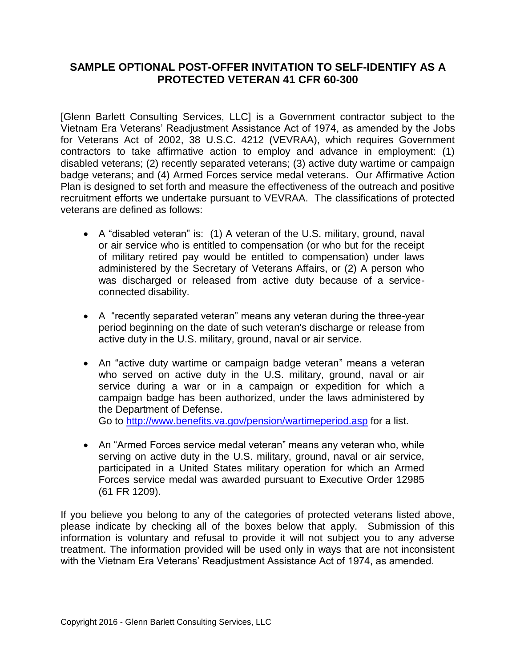## **SAMPLE OPTIONAL POST-OFFER INVITATION TO SELF-IDENTIFY AS A PROTECTED VETERAN 41 CFR 60-300**

[Glenn Barlett Consulting Services, LLC] is a Government contractor subject to the Vietnam Era Veterans' Readjustment Assistance Act of 1974, as amended by the Jobs for Veterans Act of 2002, 38 U.S.C. 4212 (VEVRAA), which requires Government contractors to take affirmative action to employ and advance in employment: (1) disabled veterans; (2) recently separated veterans; (3) active duty wartime or campaign badge veterans; and (4) Armed Forces service medal veterans. Our Affirmative Action Plan is designed to set forth and measure the effectiveness of the outreach and positive recruitment efforts we undertake pursuant to VEVRAA. The classifications of protected veterans are defined as follows:

- A "disabled veteran" is: (1) A veteran of the U.S. military, ground, naval or air service who is entitled to compensation (or who but for the receipt of military retired pay would be entitled to compensation) under laws administered by the Secretary of Veterans Affairs, or (2) A person who was discharged or released from active duty because of a serviceconnected disability.
- A "recently separated veteran" means any veteran during the three-year period beginning on the date of such veteran's discharge or release from active duty in the U.S. military, ground, naval or air service.
- An "active duty wartime or campaign badge veteran" means a veteran who served on active duty in the U.S. military, ground, naval or air service during a war or in a campaign or expedition for which a campaign badge has been authorized, under the laws administered by the Department of Defense.

Go to<http://www.benefits.va.gov/pension/wartimeperiod.asp> for a list.

• An "Armed Forces service medal veteran" means any veteran who, while serving on active duty in the U.S. military, ground, naval or air service, participated in a United States military operation for which an Armed Forces service medal was awarded pursuant to Executive Order 12985 (61 FR 1209).

If you believe you belong to any of the categories of protected veterans listed above, please indicate by checking all of the boxes below that apply. Submission of this information is voluntary and refusal to provide it will not subject you to any adverse treatment. The information provided will be used only in ways that are not inconsistent with the Vietnam Era Veterans' Readjustment Assistance Act of 1974, as amended.